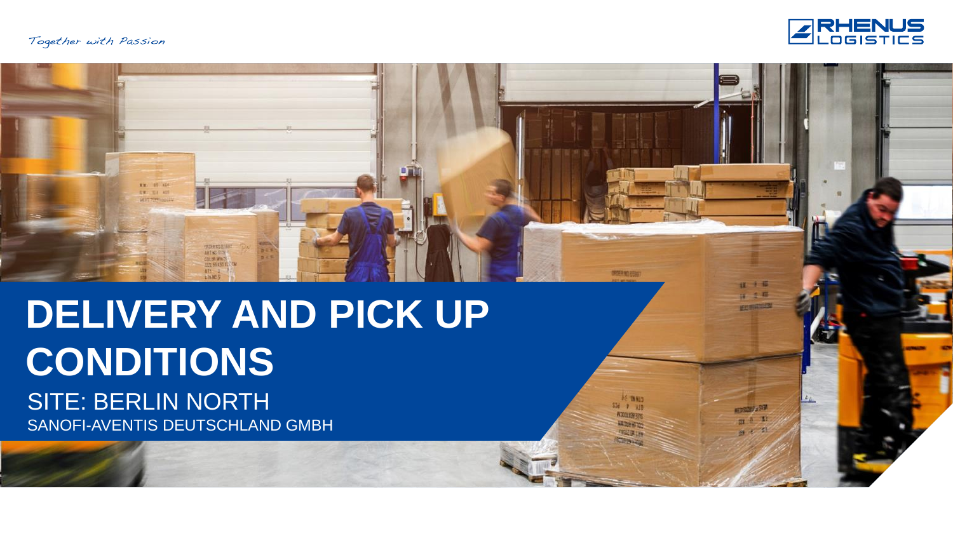KW. BE ADS **SW: 22 407** 



開発輸送額

AS THISS 536 9 310

**A'ZOLIDR375** 

**Wildesfort** 

**TRES LIN WATERWAY** 

 $n + 6$ 14 之服 **MARKETING** 

**NEUTRALISM** 

四五套

山上外

# **DELIVERY AND PICK UP CONDITIONS** SITE: BERLIN NORTH SANOFI-AVENTIS DEUTSCHLAND GMBH

ART NO FITS COLOR WINTS HH 55155 K

LTh NC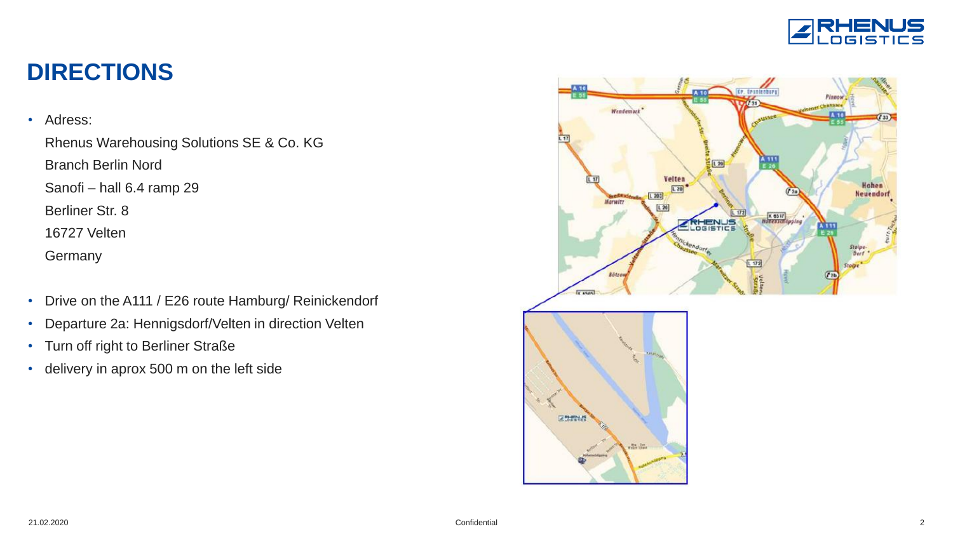

### **DIRECTIONS**

#### • Adress:

Rhenus Warehousing Solutions SE & Co. KG

Branch Berlin Nord

Sanofi – hall 6.4 ramp 29

Berliner Str. 8

16727 Velten

**Germany** 

- Drive on the A111 / E26 route Hamburg/ Reinickendorf
- Departure 2a: Hennigsdorf/Velten in direction Velten
- Turn off right to Berliner Straße
- delivery in aprox 500 m on the left side

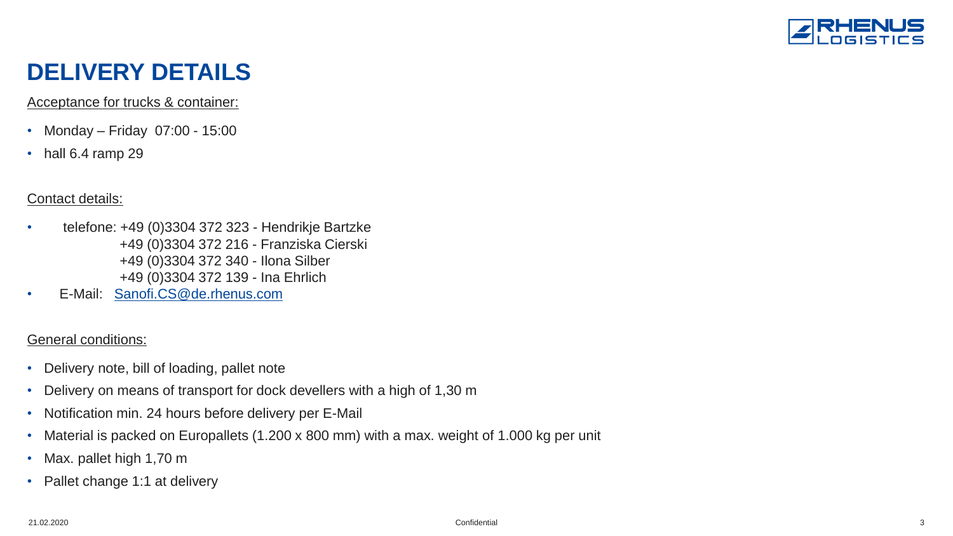

# **DELIVERY DETAILS**

Acceptance for trucks & container:

- Monday Friday 07:00 15:00
- hall 6.4 ramp 29

#### Contact details:

- telefone: +49 (0)3304 372 323 Hendrikje Bartzke +49 (0)3304 372 216 - Franziska Cierski +49 (0)3304 372 340 - Ilona Silber +49 (0)3304 372 139 - Ina Ehrlich
- E-Mail: [Sanofi.CS@de.rhenus.com](mailto:Sanofi.CS@de.rhenus.com)

#### General conditions:

- Delivery note, bill of loading, pallet note
- Delivery on means of transport for dock devellers with a high of 1,30 m
- Notification min. 24 hours before delivery per E-Mail
- Material is packed on Europallets (1.200 x 800 mm) with a max. weight of 1.000 kg per unit
- Max. pallet high 1,70 m
- Pallet change 1:1 at delivery